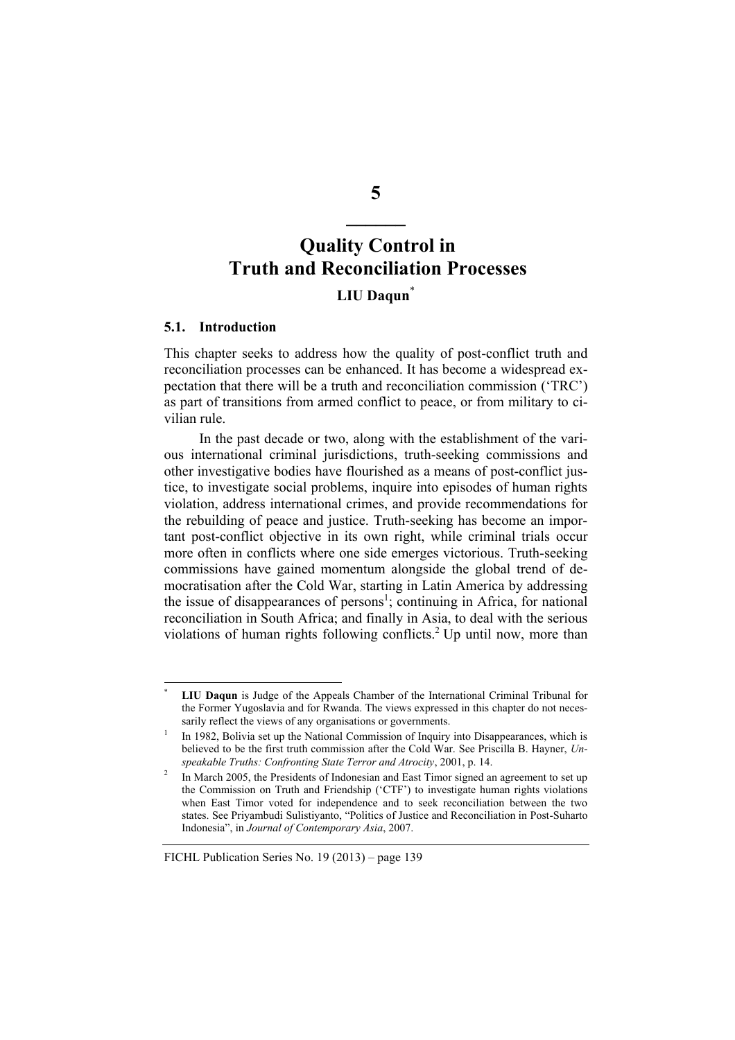# **Quality Control in Truth and Reconciliation Processes**

# **LIU Daqun**\*

#### **5.1. Introduction**

This chapter seeks to address how the quality of post-conflict truth and reconciliation processes can be enhanced. It has become a widespread expectation that there will be a truth and reconciliation commission ('TRC') as part of transitions from armed conflict to peace, or from military to civilian rule.

In the past decade or two, along with the establishment of the various international criminal jurisdictions, truth-seeking commissions and other investigative bodies have flourished as a means of post-conflict justice, to investigate social problems, inquire into episodes of human rights violation, address international crimes, and provide recommendations for the rebuilding of peace and justice. Truth-seeking has become an important post-conflict objective in its own right, while criminal trials occur more often in conflicts where one side emerges victorious. Truth-seeking commissions have gained momentum alongside the global trend of democratisation after the Cold War, starting in Latin America by addressing the issue of disappearances of persons<sup>1</sup>; continuing in Africa, for national reconciliation in South Africa; and finally in Asia, to deal with the serious violations of human rights following conflicts.<sup>2</sup> Up until now, more than

#### FICHL Publication Series No. 19 (2013) – page 139

**5** 

**\_\_\_\_\_\_** 

<sup>\*</sup> **LIU Daqun** is Judge of the Appeals Chamber of the International Criminal Tribunal for the Former Yugoslavia and for Rwanda. The views expressed in this chapter do not necessarily reflect the views of any organisations or governments.

<sup>1</sup> In 1982, Bolivia set up the National Commission of Inquiry into Disappearances, which is believed to be the first truth commission after the Cold War. See Priscilla B. Hayner, *Unspeakable Truths: Confronting State Terror and Atrocity*, 2001, p. 14. 2

In March 2005, the Presidents of Indonesian and East Timor signed an agreement to set up the Commission on Truth and Friendship ('CTF') to investigate human rights violations when East Timor voted for independence and to seek reconciliation between the two states. See Priyambudi Sulistiyanto, "Politics of Justice and Reconciliation in Post-Suharto Indonesia", in *Journal of Contemporary Asia*, 2007.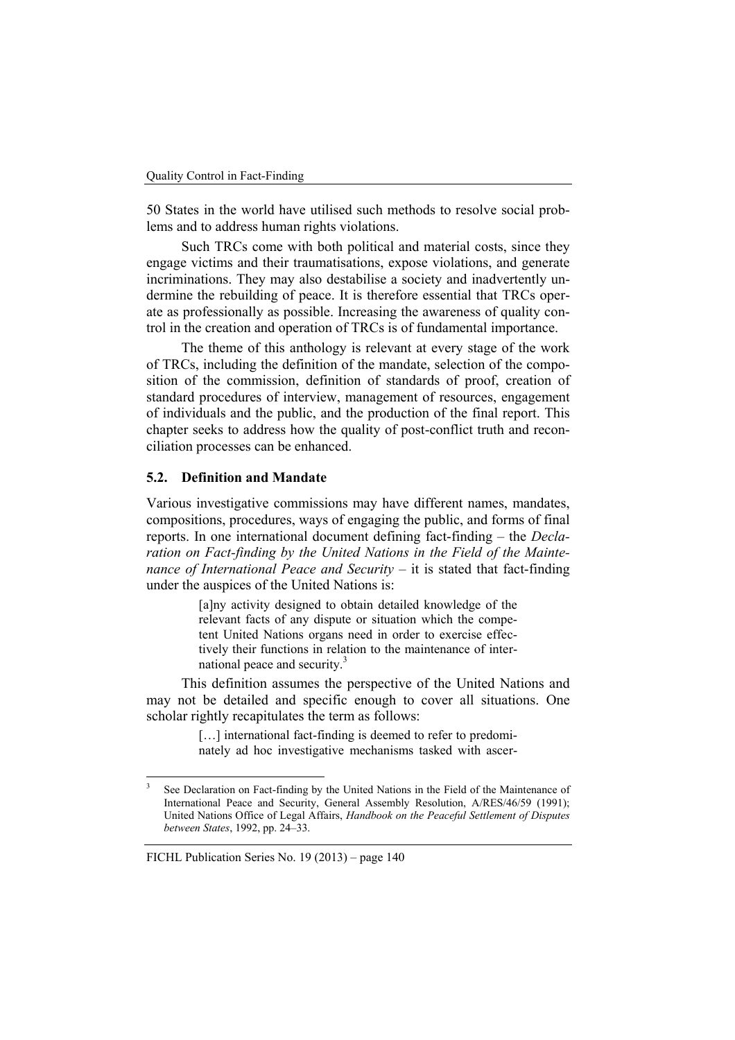50 States in the world have utilised such methods to resolve social problems and to address human rights violations.

Such TRCs come with both political and material costs, since they engage victims and their traumatisations, expose violations, and generate incriminations. They may also destabilise a society and inadvertently undermine the rebuilding of peace. It is therefore essential that TRCs operate as professionally as possible. Increasing the awareness of quality control in the creation and operation of TRCs is of fundamental importance.

The theme of this anthology is relevant at every stage of the work of TRCs, including the definition of the mandate, selection of the composition of the commission, definition of standards of proof, creation of standard procedures of interview, management of resources, engagement of individuals and the public, and the production of the final report. This chapter seeks to address how the quality of post-conflict truth and reconciliation processes can be enhanced.

#### **5.2. Definition and Mandate**

Various investigative commissions may have different names, mandates, compositions, procedures, ways of engaging the public, and forms of final reports. In one international document defining fact-finding – the *Declaration on Fact-finding by the United Nations in the Field of the Maintenance of International Peace and Security – it is stated that fact-finding* under the auspices of the United Nations is:

> [a]ny activity designed to obtain detailed knowledge of the relevant facts of any dispute or situation which the competent United Nations organs need in order to exercise effectively their functions in relation to the maintenance of international peace and security.<sup>3</sup>

This definition assumes the perspective of the United Nations and may not be detailed and specific enough to cover all situations. One scholar rightly recapitulates the term as follows:

> [...] international fact-finding is deemed to refer to predominately ad hoc investigative mechanisms tasked with ascer-

<sup>3</sup> See Declaration on Fact-finding by the United Nations in the Field of the Maintenance of International Peace and Security, General Assembly Resolution, A/RES/46/59 (1991); United Nations Office of Legal Affairs, *Handbook on the Peaceful Settlement of Disputes between States*, 1992, pp. 24–33.

FICHL Publication Series No. 19 (2013) – page 140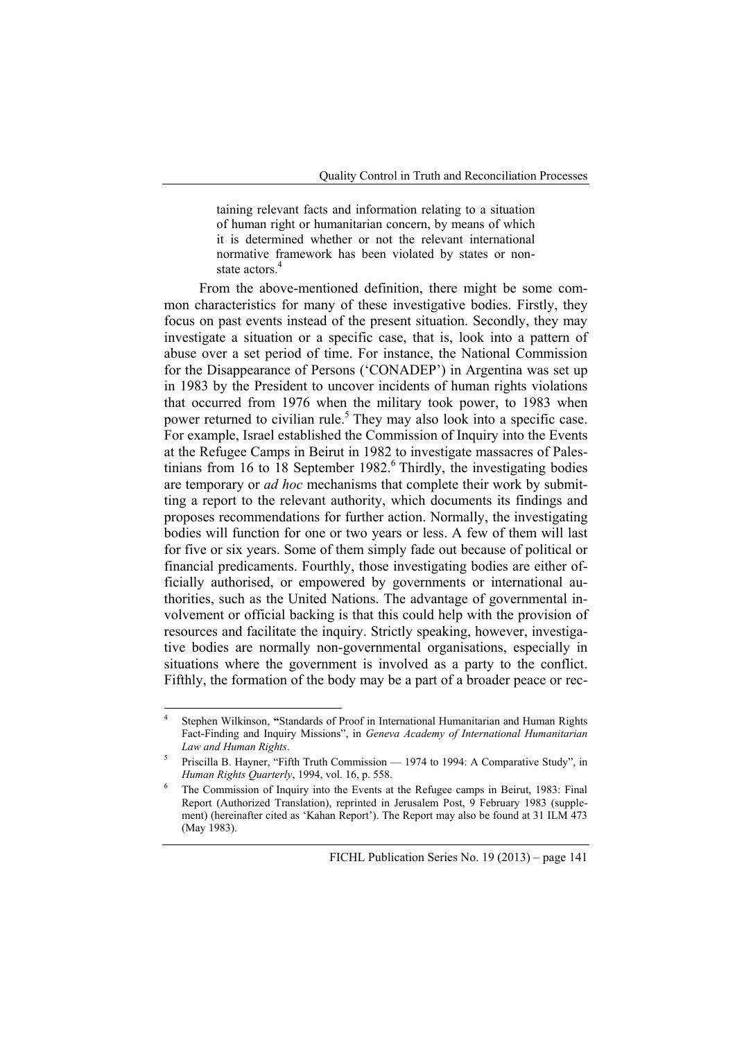taining relevant facts and information relating to a situation of human right or humanitarian concern, by means of which it is determined whether or not the relevant international normative framework has been violated by states or nonstate actors.<sup>4</sup>

From the above-mentioned definition, there might be some common characteristics for many of these investigative bodies. Firstly, they focus on past events instead of the present situation. Secondly, they may investigate a situation or a specific case, that is, look into a pattern of abuse over a set period of time. For instance, the National Commission for the Disappearance of Persons ('CONADEP') in Argentina was set up in 1983 by the President to uncover incidents of human rights violations that occurred from 1976 when the military took power, to 1983 when power returned to civilian rule.<sup>5</sup> They may also look into a specific case. For example, Israel established the Commission of Inquiry into the Events at the Refugee Camps in Beirut in 1982 to investigate massacres of Palestinians from 16 to 18 September 1982. $\degree$  Thirdly, the investigating bodies are temporary or *ad hoc* mechanisms that complete their work by submitting a report to the relevant authority, which documents its findings and proposes recommendations for further action. Normally, the investigating bodies will function for one or two years or less. A few of them will last for five or six years. Some of them simply fade out because of political or financial predicaments. Fourthly, those investigating bodies are either officially authorised, or empowered by governments or international authorities, such as the United Nations. The advantage of governmental involvement or official backing is that this could help with the provision of resources and facilitate the inquiry. Strictly speaking, however, investigative bodies are normally non-governmental organisations, especially in situations where the government is involved as a party to the conflict. Fifthly, the formation of the body may be a part of a broader peace or rec-

<sup>4</sup> Stephen Wilkinson, **"**Standards of Proof in International Humanitarian and Human Rights Fact-Finding and Inquiry Missions", in *Geneva Academy of International Humanitarian Law and Human Rights*.

<sup>5</sup> Priscilla B. Hayner, "Fifth Truth Commission — 1974 to 1994: A Comparative Study", in *Human Rights Quarterly*, 1994, vol. 16, p. 558. 6

The Commission of Inquiry into the Events at the Refugee camps in Beirut, 1983: Final Report (Authorized Translation), reprinted in Jerusalem Post, 9 February 1983 (supplement) (hereinafter cited as 'Kahan Report'). The Report may also be found at 31 ILM 473 (May 1983).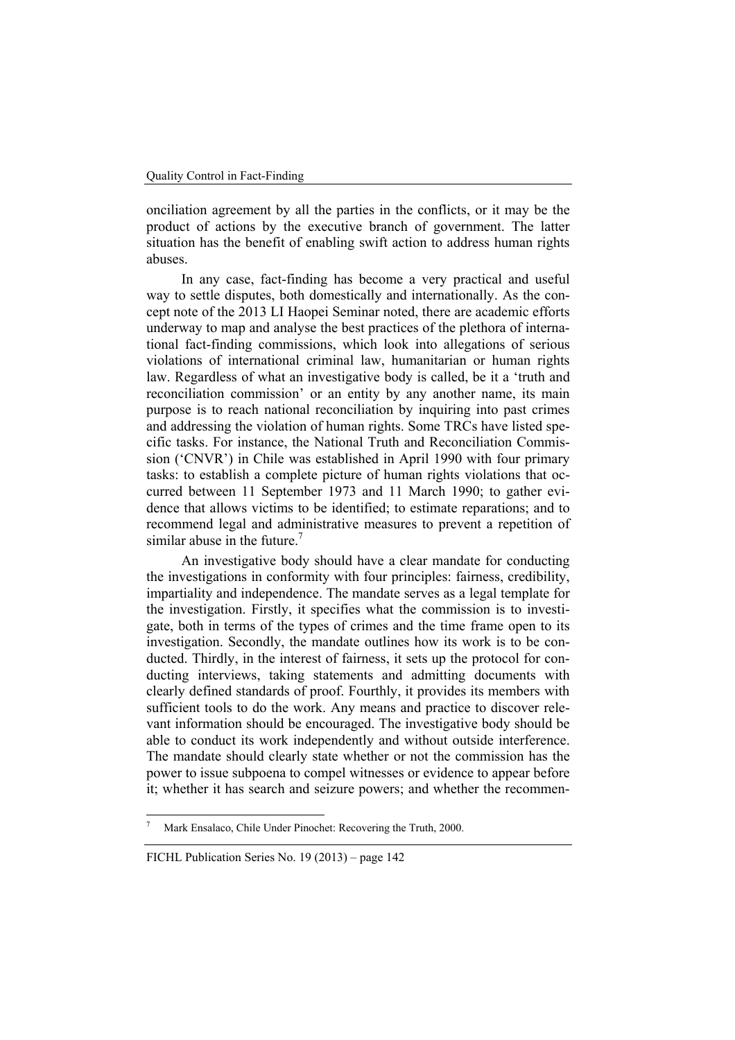onciliation agreement by all the parties in the conflicts, or it may be the product of actions by the executive branch of government. The latter situation has the benefit of enabling swift action to address human rights abuses.

In any case, fact-finding has become a very practical and useful way to settle disputes, both domestically and internationally. As the concept note of the 2013 LI Haopei Seminar noted, there are academic efforts underway to map and analyse the best practices of the plethora of international fact-finding commissions, which look into allegations of serious violations of international criminal law, humanitarian or human rights law. Regardless of what an investigative body is called, be it a 'truth and reconciliation commission' or an entity by any another name, its main purpose is to reach national reconciliation by inquiring into past crimes and addressing the violation of human rights. Some TRCs have listed specific tasks. For instance, the National Truth and Reconciliation Commission ('CNVR') in Chile was established in April 1990 with four primary tasks: to establish a complete picture of human rights violations that occurred between 11 September 1973 and 11 March 1990; to gather evidence that allows victims to be identified; to estimate reparations; and to recommend legal and administrative measures to prevent a repetition of similar abuse in the future.<sup>7</sup>

An investigative body should have a clear mandate for conducting the investigations in conformity with four principles: fairness, credibility, impartiality and independence. The mandate serves as a legal template for the investigation. Firstly, it specifies what the commission is to investigate, both in terms of the types of crimes and the time frame open to its investigation. Secondly, the mandate outlines how its work is to be conducted. Thirdly, in the interest of fairness, it sets up the protocol for conducting interviews, taking statements and admitting documents with clearly defined standards of proof. Fourthly, it provides its members with sufficient tools to do the work. Any means and practice to discover relevant information should be encouraged. The investigative body should be able to conduct its work independently and without outside interference. The mandate should clearly state whether or not the commission has the power to issue subpoena to compel witnesses or evidence to appear before it; whether it has search and seizure powers; and whether the recommen-

 $\overline{\phantom{a}}$ 

<sup>7</sup> Mark Ensalaco, Chile Under Pinochet: Recovering the Truth, 2000.

FICHL Publication Series No. 19 (2013) – page 142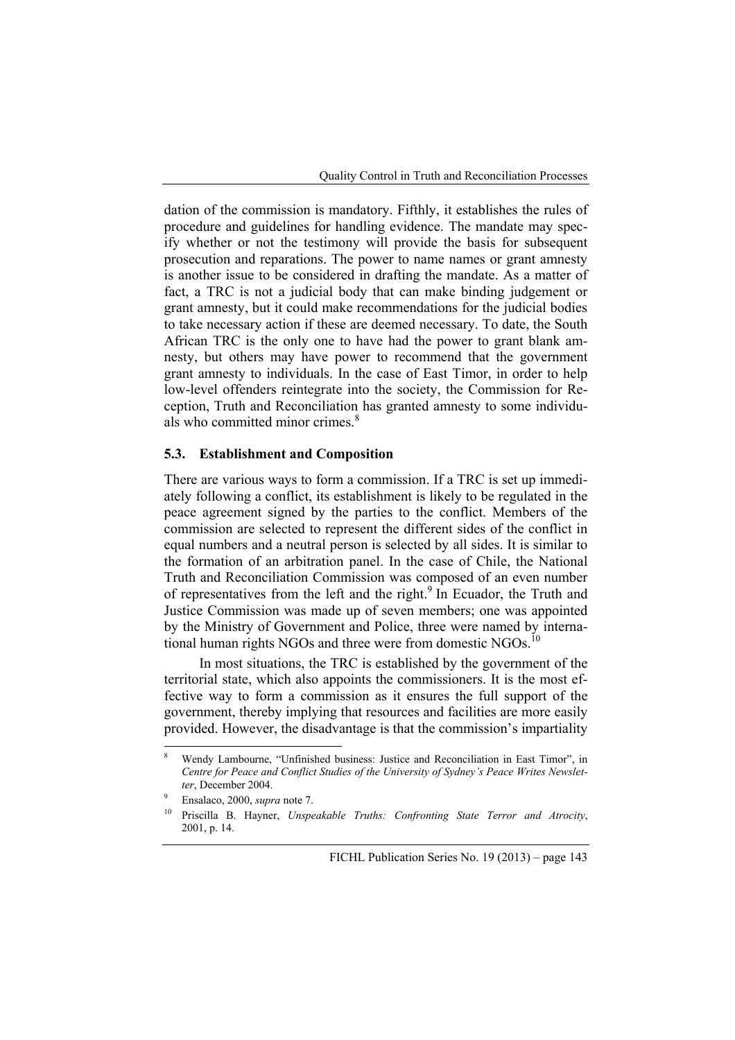dation of the commission is mandatory. Fifthly, it establishes the rules of procedure and guidelines for handling evidence. The mandate may specify whether or not the testimony will provide the basis for subsequent prosecution and reparations. The power to name names or grant amnesty is another issue to be considered in drafting the mandate. As a matter of fact, a TRC is not a judicial body that can make binding judgement or grant amnesty, but it could make recommendations for the judicial bodies to take necessary action if these are deemed necessary. To date, the South African TRC is the only one to have had the power to grant blank amnesty, but others may have power to recommend that the government grant amnesty to individuals. In the case of East Timor, in order to help low-level offenders reintegrate into the society, the Commission for Reception, Truth and Reconciliation has granted amnesty to some individuals who committed minor crimes.<sup>8</sup>

## **5.3. Establishment and Composition**

There are various ways to form a commission. If a TRC is set up immediately following a conflict, its establishment is likely to be regulated in the peace agreement signed by the parties to the conflict. Members of the commission are selected to represent the different sides of the conflict in equal numbers and a neutral person is selected by all sides. It is similar to the formation of an arbitration panel. In the case of Chile, the National Truth and Reconciliation Commission was composed of an even number of representatives from the left and the right. $9 \text{ In }$  Ecuador, the Truth and Justice Commission was made up of seven members; one was appointed by the Ministry of Government and Police, three were named by international human rights NGOs and three were from domestic NGOs.<sup>10</sup>

In most situations, the TRC is established by the government of the territorial state, which also appoints the commissioners. It is the most effective way to form a commission as it ensures the full support of the government, thereby implying that resources and facilities are more easily provided. However, the disadvantage is that the commission's impartiality

<sup>8</sup> Wendy Lambourne, "Unfinished business: Justice and Reconciliation in East Timor", in *Centre for Peace and Conflict Studies of the University of Sydney's Peace Writes Newsletter*, December 2004.<br>Ensalaco, 2000, *supra* note 7.

Priscilla B. Hayner, *Unspeakable Truths: Confronting State Terror and Atrocity*, 2001, p. 14.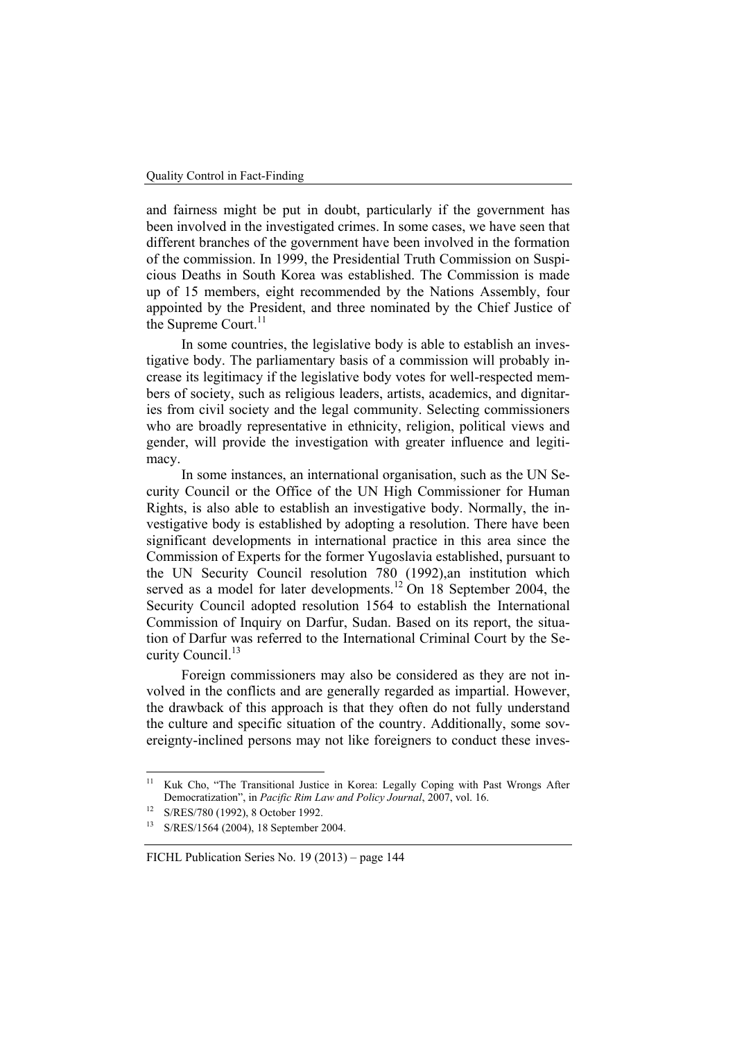and fairness might be put in doubt, particularly if the government has been involved in the investigated crimes. In some cases, we have seen that different branches of the government have been involved in the formation of the commission. In 1999, the Presidential Truth Commission on Suspicious Deaths in South Korea was established. The Commission is made up of 15 members, eight recommended by the Nations Assembly, four appointed by the President, and three nominated by the Chief Justice of the Supreme Court.<sup>11</sup>

In some countries, the legislative body is able to establish an investigative body. The parliamentary basis of a commission will probably increase its legitimacy if the legislative body votes for well-respected members of society, such as religious leaders, artists, academics, and dignitaries from civil society and the legal community. Selecting commissioners who are broadly representative in ethnicity, religion, political views and gender, will provide the investigation with greater influence and legitimacy.

In some instances, an international organisation, such as the UN Security Council or the Office of the UN High Commissioner for Human Rights, is also able to establish an investigative body. Normally, the investigative body is established by adopting a resolution. There have been significant developments in international practice in this area since the Commission of Experts for the former Yugoslavia established, pursuant to the UN Security Council resolution 780 (1992),an institution which served as a model for later developments.<sup>12</sup> On 18 September 2004, the Security Council adopted resolution 1564 to establish the International Commission of Inquiry on Darfur, Sudan. Based on its report, the situation of Darfur was referred to the International Criminal Court by the Security Council.<sup>13</sup>

Foreign commissioners may also be considered as they are not involved in the conflicts and are generally regarded as impartial. However, the drawback of this approach is that they often do not fully understand the culture and specific situation of the country. Additionally, some sovereignty-inclined persons may not like foreigners to conduct these inves-

 $11$ Kuk Cho, "The Transitional Justice in Korea: Legally Coping with Past Wrongs After Democratization", in *Pacific Rim Law and Policy Journal*, 2007, vol. 16.<br>S/RES/780 (1992), 8 October 1992.

<sup>13</sup> S/RES/1564 (2004), 18 September 2004.

FICHL Publication Series No. 19 (2013) – page 144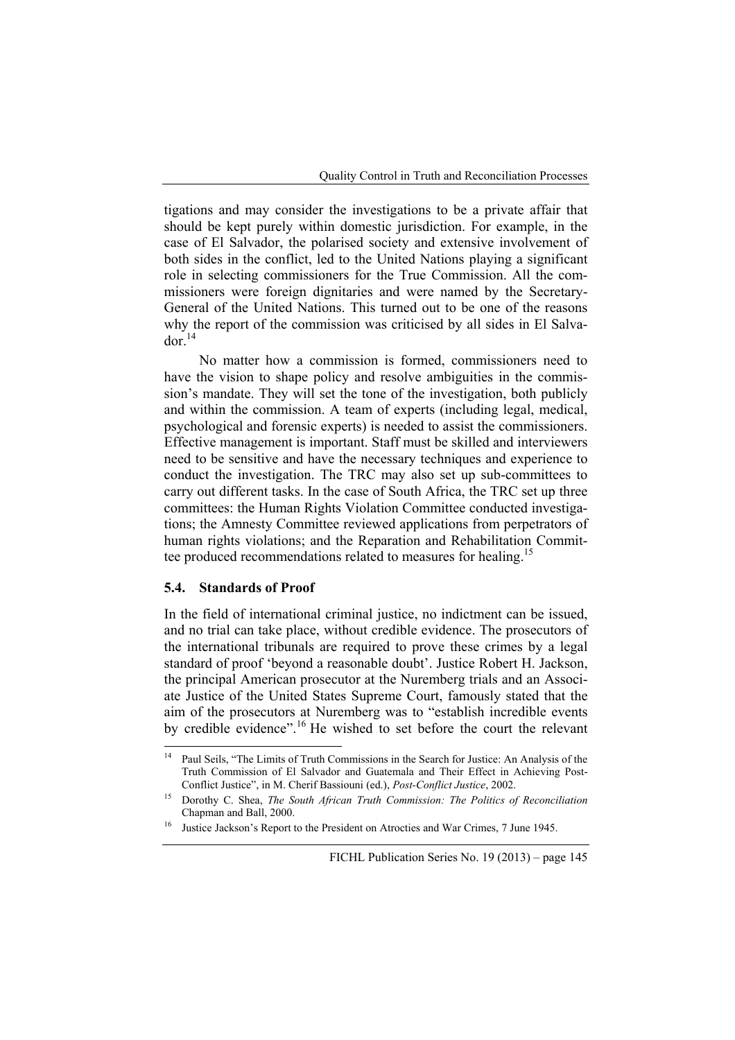tigations and may consider the investigations to be a private affair that should be kept purely within domestic jurisdiction. For example, in the case of El Salvador, the polarised society and extensive involvement of both sides in the conflict, led to the United Nations playing a significant role in selecting commissioners for the True Commission. All the commissioners were foreign dignitaries and were named by the Secretary-General of the United Nations. This turned out to be one of the reasons why the report of the commission was criticised by all sides in El Salva $d$ or.<sup>14</sup>

No matter how a commission is formed, commissioners need to have the vision to shape policy and resolve ambiguities in the commission's mandate. They will set the tone of the investigation, both publicly and within the commission. A team of experts (including legal, medical, psychological and forensic experts) is needed to assist the commissioners. Effective management is important. Staff must be skilled and interviewers need to be sensitive and have the necessary techniques and experience to conduct the investigation. The TRC may also set up sub-committees to carry out different tasks. In the case of South Africa, the TRC set up three committees: the Human Rights Violation Committee conducted investigations; the Amnesty Committee reviewed applications from perpetrators of human rights violations; and the Reparation and Rehabilitation Committee produced recommendations related to measures for healing.<sup>15</sup>

# **5.4. Standards of Proof**

In the field of international criminal justice, no indictment can be issued, and no trial can take place, without credible evidence. The prosecutors of the international tribunals are required to prove these crimes by a legal standard of proof 'beyond a reasonable doubt'. Justice Robert H. Jackson, the principal American prosecutor at the Nuremberg trials and an Associate Justice of the United States Supreme Court, famously stated that the aim of the prosecutors at Nuremberg was to "establish incredible events by credible evidence".<sup>16</sup> He wished to set before the court the relevant

 $14$ 14 Paul Seils, "The Limits of Truth Commissions in the Search for Justice: An Analysis of the Truth Commission of El Salvador and Guatemala and Their Effect in Achieving Post-

Conflict Justice", in M. Cherif Bassiouni (ed.), *Post-Conflict Justice*, 2002.<br>Dorothy C. Shea, *The South African Truth Commission: The Politics of Reconciliation* Chapman and Ball, 2000.<br>Justice Jackson's Report to the President on Atrocties and War Crimes, 7 June 1945.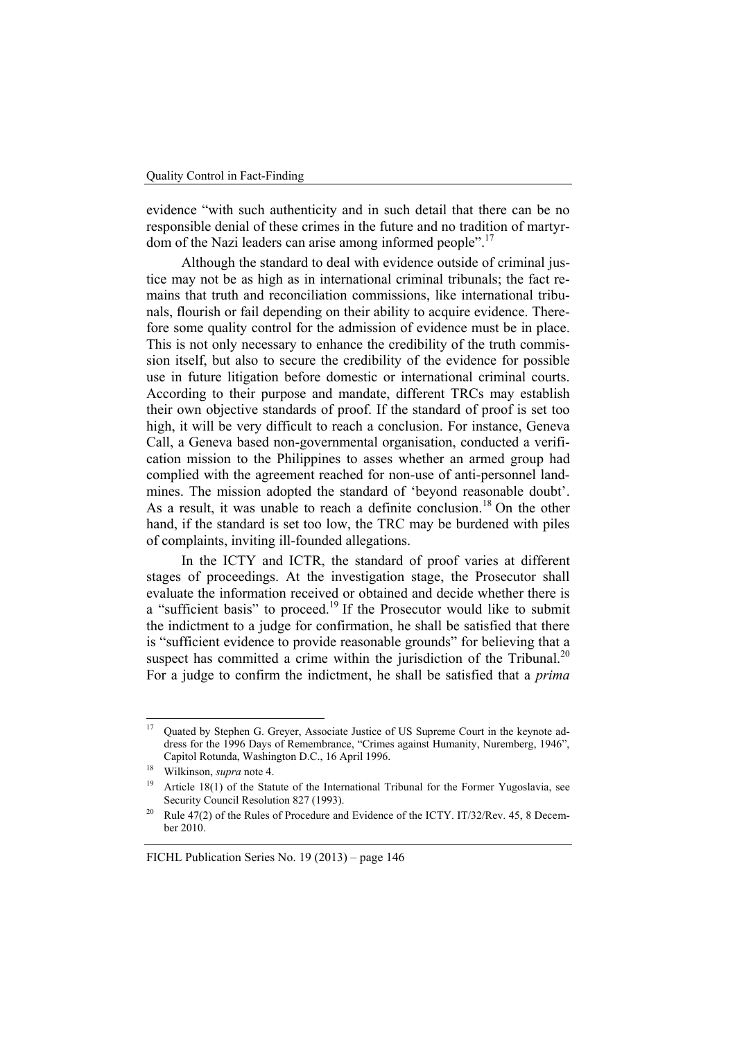evidence "with such authenticity and in such detail that there can be no responsible denial of these crimes in the future and no tradition of martyrdom of the Nazi leaders can arise among informed people".<sup>17</sup>

Although the standard to deal with evidence outside of criminal justice may not be as high as in international criminal tribunals; the fact remains that truth and reconciliation commissions, like international tribunals, flourish or fail depending on their ability to acquire evidence. Therefore some quality control for the admission of evidence must be in place. This is not only necessary to enhance the credibility of the truth commission itself, but also to secure the credibility of the evidence for possible use in future litigation before domestic or international criminal courts. According to their purpose and mandate, different TRCs may establish their own objective standards of proof. If the standard of proof is set too high, it will be very difficult to reach a conclusion. For instance, Geneva Call, a Geneva based non-governmental organisation, conducted a verification mission to the Philippines to asses whether an armed group had complied with the agreement reached for non-use of anti-personnel landmines. The mission adopted the standard of 'beyond reasonable doubt'. As a result, it was unable to reach a definite conclusion.<sup>18</sup> On the other hand, if the standard is set too low, the TRC may be burdened with piles of complaints, inviting ill-founded allegations.

In the ICTY and ICTR, the standard of proof varies at different stages of proceedings. At the investigation stage, the Prosecutor shall evaluate the information received or obtained and decide whether there is a "sufficient basis" to proceed.<sup>19</sup> If the Prosecutor would like to submit the indictment to a judge for confirmation, he shall be satisfied that there is "sufficient evidence to provide reasonable grounds" for believing that a suspect has committed a crime within the jurisdiction of the Tribunal. $20$ For a judge to confirm the indictment, he shall be satisfied that a *prima* 

 $17$ 17 Quated by Stephen G. Greyer, Associate Justice of US Supreme Court in the keynote address for the 1996 Days of Remembrance, "Crimes against Humanity, Nuremberg, 1946", Capitol Rotunda, Washington D.C., 16 April 1996.<br><sup>18</sup> Wilkinson, *supra* note 4.<br><sup>19</sup> Article 18(1) of the Statute of the International Tribunal for the Former Yugoslavia, see

Security Council Resolution 827 (1993).<br><sup>20</sup> Rule 47(2) of the Rules of Procedure and Evidence of the ICTY. IT/32/Rev. 45, 8 Decem-

ber 2010.

FICHL Publication Series No. 19 (2013) – page 146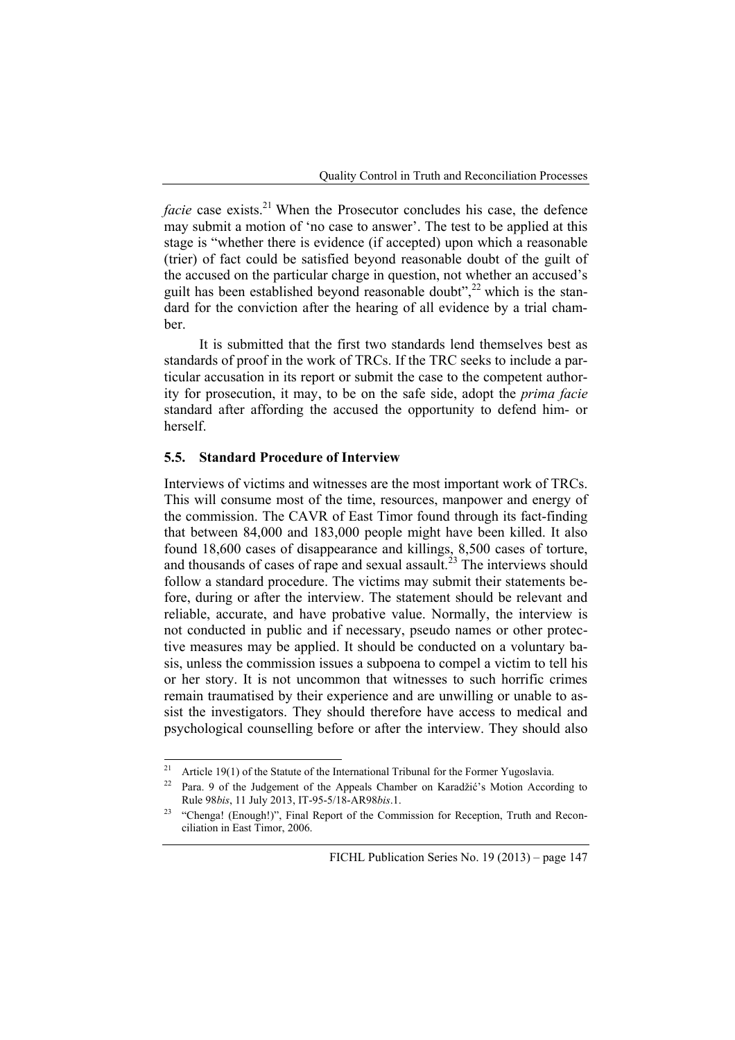*facie* case exists.<sup>21</sup> When the Prosecutor concludes his case, the defence may submit a motion of 'no case to answer'. The test to be applied at this stage is "whether there is evidence (if accepted) upon which a reasonable (trier) of fact could be satisfied beyond reasonable doubt of the guilt of the accused on the particular charge in question, not whether an accused's guilt has been established beyond reasonable doubt",<sup>22</sup> which is the standard for the conviction after the hearing of all evidence by a trial chamber.

It is submitted that the first two standards lend themselves best as standards of proof in the work of TRCs. If the TRC seeks to include a particular accusation in its report or submit the case to the competent authority for prosecution, it may, to be on the safe side, adopt the *prima facie* standard after affording the accused the opportunity to defend him- or herself.

# **5.5. Standard Procedure of Interview**

Interviews of victims and witnesses are the most important work of TRCs. This will consume most of the time, resources, manpower and energy of the commission. The CAVR of East Timor found through its fact-finding that between 84,000 and 183,000 people might have been killed. It also found 18,600 cases of disappearance and killings, 8,500 cases of torture, and thousands of cases of rape and sexual assault.<sup>23</sup> The interviews should follow a standard procedure. The victims may submit their statements before, during or after the interview. The statement should be relevant and reliable, accurate, and have probative value. Normally, the interview is not conducted in public and if necessary, pseudo names or other protective measures may be applied. It should be conducted on a voluntary basis, unless the commission issues a subpoena to compel a victim to tell his or her story. It is not uncommon that witnesses to such horrific crimes remain traumatised by their experience and are unwilling or unable to assist the investigators. They should therefore have access to medical and psychological counselling before or after the interview. They should also

 $21$ Article 19(1) of the Statute of the International Tribunal for the Former Yugoslavia.

<sup>22</sup> Para. 9 of the Judgement of the Appeals Chamber on Karadžić's Motion According to Rule 98*bis*, 11 July 2013, IT-95-5/18-AR98*bis*.1.<br><sup>23</sup> "Chenga! (Enough!)", Final Report of the Commission for Reception, Truth and Recon-

ciliation in East Timor, 2006.

FICHL Publication Series No. 19 (2013) – page 147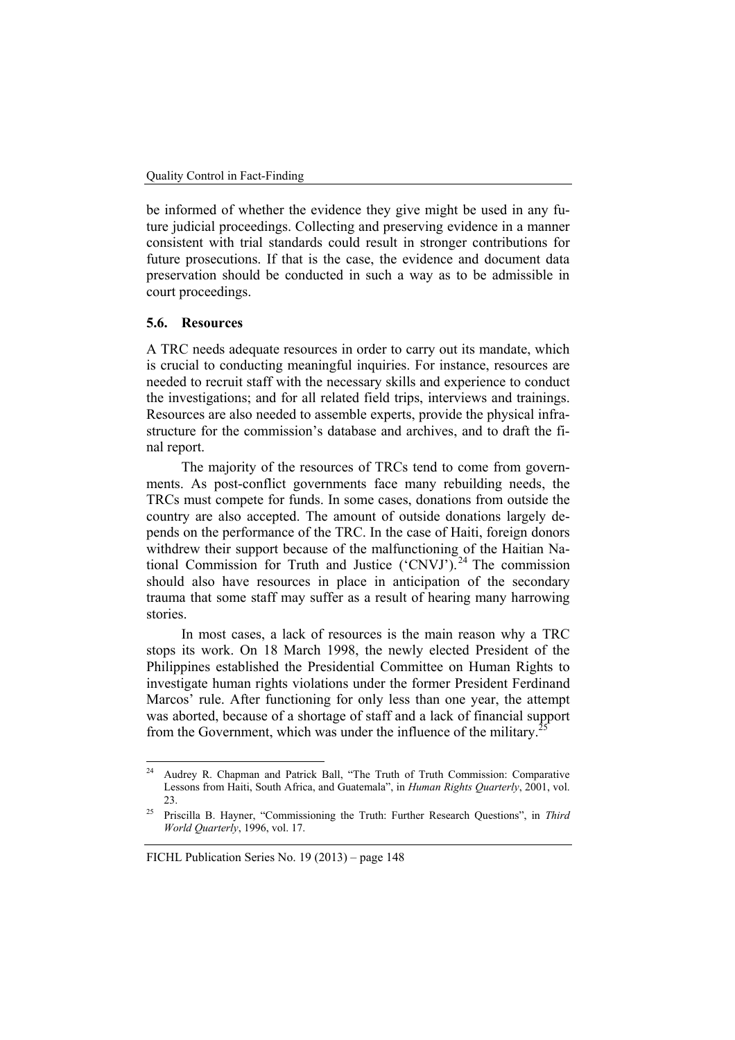be informed of whether the evidence they give might be used in any future judicial proceedings. Collecting and preserving evidence in a manner consistent with trial standards could result in stronger contributions for future prosecutions. If that is the case, the evidence and document data preservation should be conducted in such a way as to be admissible in court proceedings.

#### **5.6. Resources**

A TRC needs adequate resources in order to carry out its mandate, which is crucial to conducting meaningful inquiries. For instance, resources are needed to recruit staff with the necessary skills and experience to conduct the investigations; and for all related field trips, interviews and trainings. Resources are also needed to assemble experts, provide the physical infrastructure for the commission's database and archives, and to draft the final report.

The majority of the resources of TRCs tend to come from governments. As post-conflict governments face many rebuilding needs, the TRCs must compete for funds. In some cases, donations from outside the country are also accepted. The amount of outside donations largely depends on the performance of the TRC. In the case of Haiti, foreign donors withdrew their support because of the malfunctioning of the Haitian National Commission for Truth and Justice  $({\rm CNVJ})$ .<sup>24</sup> The commission should also have resources in place in anticipation of the secondary trauma that some staff may suffer as a result of hearing many harrowing stories.

In most cases, a lack of resources is the main reason why a TRC stops its work. On 18 March 1998, the newly elected President of the Philippines established the Presidential Committee on Human Rights to investigate human rights violations under the former President Ferdinand Marcos' rule. After functioning for only less than one year, the attempt was aborted, because of a shortage of staff and a lack of financial support from the Government, which was under the influence of the military.<sup>2</sup>

<sup>24</sup> 24 Audrey R. Chapman and Patrick Ball, "The Truth of Truth Commission: Comparative Lessons from Haiti, South Africa, and Guatemala", in *Human Rights Quarterly*, 2001, vol.

<sup>23. 25</sup> Priscilla B. Hayner, "Commissioning the Truth: Further Research Questions", in *Third World Quarterly*, 1996, vol. 17.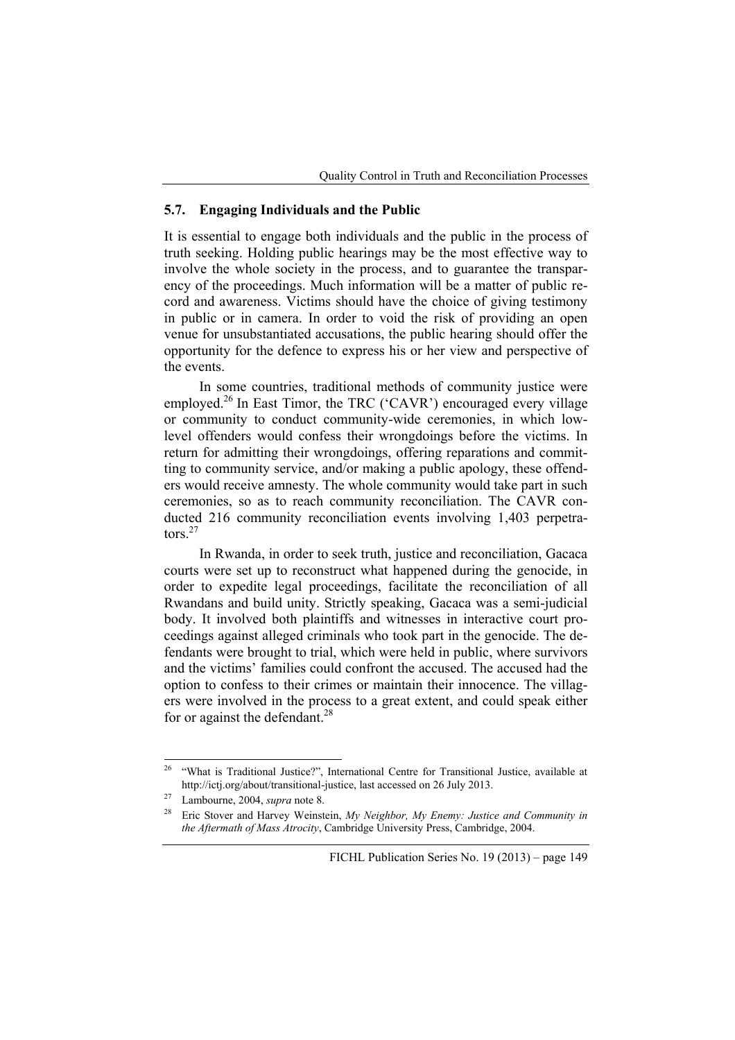## **5.7. Engaging Individuals and the Public**

It is essential to engage both individuals and the public in the process of truth seeking. Holding public hearings may be the most effective way to involve the whole society in the process, and to guarantee the transparency of the proceedings. Much information will be a matter of public record and awareness. Victims should have the choice of giving testimony in public or in camera. In order to void the risk of providing an open venue for unsubstantiated accusations, the public hearing should offer the opportunity for the defence to express his or her view and perspective of the events.

In some countries, traditional methods of community justice were employed.<sup>26</sup> In East Timor, the TRC ('CAVR') encouraged every village or community to conduct community-wide ceremonies, in which lowlevel offenders would confess their wrongdoings before the victims. In return for admitting their wrongdoings, offering reparations and committing to community service, and/or making a public apology, these offenders would receive amnesty. The whole community would take part in such ceremonies, so as to reach community reconciliation. The CAVR conducted 216 community reconciliation events involving 1,403 perpetra- $\cos^{27}$ 

In Rwanda, in order to seek truth, justice and reconciliation, Gacaca courts were set up to reconstruct what happened during the genocide, in order to expedite legal proceedings, facilitate the reconciliation of all Rwandans and build unity. Strictly speaking, Gacaca was a semi-judicial body. It involved both plaintiffs and witnesses in interactive court proceedings against alleged criminals who took part in the genocide. The defendants were brought to trial, which were held in public, where survivors and the victims' families could confront the accused. The accused had the option to confess to their crimes or maintain their innocence. The villagers were involved in the process to a great extent, and could speak either for or against the defendant.<sup>28</sup>

 $26$ 26 "What is Traditional Justice?", International Centre for Transitional Justice, available at http://ictj.org/about/transitional-justice, last accessed on 26 July 2013.<br><sup>27</sup> Lambourne, 2004, *supra* note 8.<br><sup>28</sup> Eric Stover and Harvey Weinstein, *My Neighbor, My Enemy: Justice and Community in* 

*the Aftermath of Mass Atrocity*, Cambridge University Press, Cambridge, 2004.

FICHL Publication Series No. 19 (2013) – page 149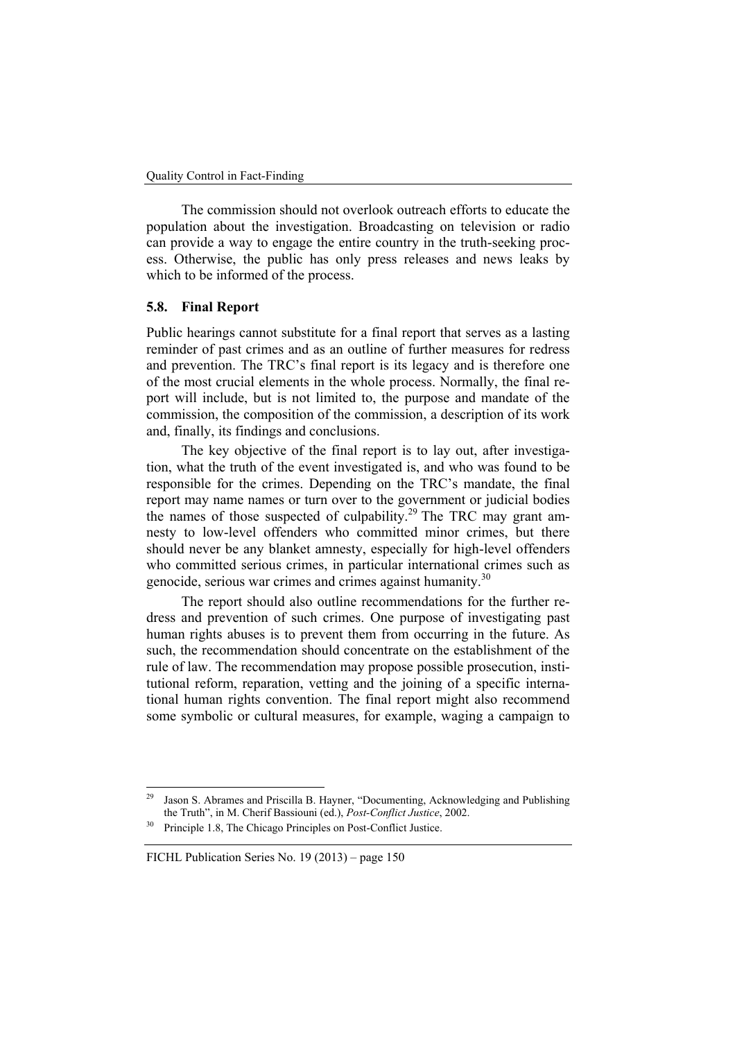The commission should not overlook outreach efforts to educate the population about the investigation. Broadcasting on television or radio can provide a way to engage the entire country in the truth-seeking process. Otherwise, the public has only press releases and news leaks by which to be informed of the process.

# **5.8. Final Report**

Public hearings cannot substitute for a final report that serves as a lasting reminder of past crimes and as an outline of further measures for redress and prevention. The TRC's final report is its legacy and is therefore one of the most crucial elements in the whole process. Normally, the final report will include, but is not limited to, the purpose and mandate of the commission, the composition of the commission, a description of its work and, finally, its findings and conclusions.

The key objective of the final report is to lay out, after investigation, what the truth of the event investigated is, and who was found to be responsible for the crimes. Depending on the TRC's mandate, the final report may name names or turn over to the government or judicial bodies the names of those suspected of culpability.<sup>29</sup> The TRC may grant amnesty to low-level offenders who committed minor crimes, but there should never be any blanket amnesty, especially for high-level offenders who committed serious crimes, in particular international crimes such as genocide, serious war crimes and crimes against humanity.<sup>30</sup>

The report should also outline recommendations for the further redress and prevention of such crimes. One purpose of investigating past human rights abuses is to prevent them from occurring in the future. As such, the recommendation should concentrate on the establishment of the rule of law. The recommendation may propose possible prosecution, institutional reform, reparation, vetting and the joining of a specific international human rights convention. The final report might also recommend some symbolic or cultural measures, for example, waging a campaign to

Jason S. Abrames and Priscilla B. Hayner, "Documenting, Acknowledging and Publishing the Truth", in M. Cherif Bassiouni (ed.), *Post-Conflict Justice*, 2002. Principle 1.8, The Chicago Principles on Post-Conflict Justice.

FICHL Publication Series No. 19 (2013) – page 150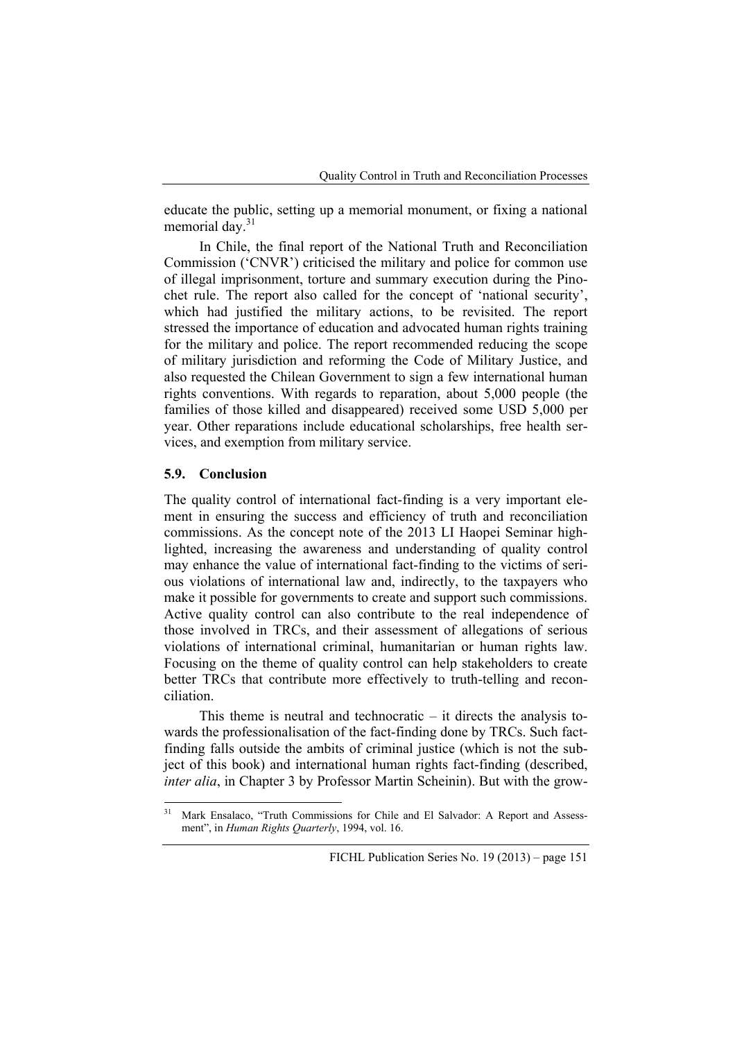educate the public, setting up a memorial monument, or fixing a national memorial day.<sup>31</sup>

In Chile, the final report of the National Truth and Reconciliation Commission ('CNVR') criticised the military and police for common use of illegal imprisonment, torture and summary execution during the Pinochet rule. The report also called for the concept of 'national security', which had justified the military actions, to be revisited. The report stressed the importance of education and advocated human rights training for the military and police. The report recommended reducing the scope of military jurisdiction and reforming the Code of Military Justice, and also requested the Chilean Government to sign a few international human rights conventions. With regards to reparation, about 5,000 people (the families of those killed and disappeared) received some USD 5,000 per year. Other reparations include educational scholarships, free health services, and exemption from military service.

#### **5.9. Conclusion**

The quality control of international fact-finding is a very important element in ensuring the success and efficiency of truth and reconciliation commissions. As the concept note of the 2013 LI Haopei Seminar highlighted, increasing the awareness and understanding of quality control may enhance the value of international fact-finding to the victims of serious violations of international law and, indirectly, to the taxpayers who make it possible for governments to create and support such commissions. Active quality control can also contribute to the real independence of those involved in TRCs, and their assessment of allegations of serious violations of international criminal, humanitarian or human rights law. Focusing on the theme of quality control can help stakeholders to create better TRCs that contribute more effectively to truth-telling and reconciliation.

This theme is neutral and technocratic – it directs the analysis towards the professionalisation of the fact-finding done by TRCs. Such factfinding falls outside the ambits of criminal justice (which is not the subject of this book) and international human rights fact-finding (described, *inter alia*, in Chapter 3 by Professor Martin Scheinin). But with the grow-

 $31$ 31 Mark Ensalaco, "Truth Commissions for Chile and El Salvador: A Report and Assessment", in *Human Rights Quarterly*, 1994, vol. 16.